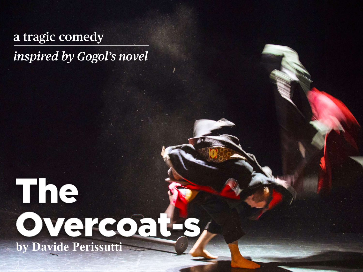#### **a tragic comedy**

*inspired by Gogol's novel*

# The Overcoat**by Davide Perissutti**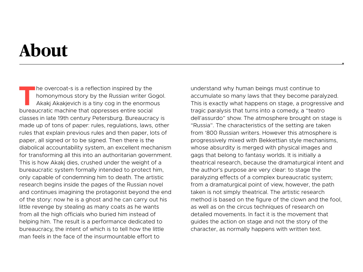## **About**

THE ONDEREN IS A reflection inspired by the<br>homonymous story by the Russian writer Gotal<br>Akakj Akakjevich is a tiny cog in the enormo homonymous story by the Russian writer Gogol. Akakj Akakjevich is a tiny cog in the enormous bureaucratic machine that oppresses entire social classes in late 19th century Petersburg. Bureaucracy is made up of tons of paper: rules, regulations, laws, other rules that explain previous rules and then paper, lots of paper, all signed or to be signed. Then there is the diabolical accountability system, an excellent mechanism for transforming all this into an authoritarian government. This is how Akakj dies, crushed under the weight of a bureaucratic system formally intended to protect him, only capable of condemning him to death. The artistic research begins inside the pages of the Russian novel and continues imagining the protagonist beyond the end of the story: now he is a ghost and he can carry out his little revenge by stealing as many coats as he wants from all the high officials who buried him instead of helping him. The result is a performance dedicated to bureaucracy, the intent of which is to tell how the little man feels in the face of the insurmountable effort to

understand why human beings must continue to accumulate so many laws that they become paralyzed. This is exactly what happens on stage, a progressive and tragic paralysis that turns into a comedy, a "teatro dell'assurdo" show. The atmosphere brought on stage is "Russia". The characteristics of the setting are taken from '800 Russian writers. However this atmosphere is progressively mixed with Bekkettian style mechanisms, whose absurdity is merged with physical images and gags that belong to fantasy worlds. It is initially a theatrical research, because the dramaturgical intent and the author's purpose are very clear: to stage the paralyzing effects of a complex bureaucratic system; from a dramaturgical point of view, however, the path taken is not simply theatrical. The artistic research method is based on the figure of the clown and the fool, as well as on the circus techniques of research on detailed movements. In fact it is the movement that guides the action on stage and not the story of the character, as normally happens with written text.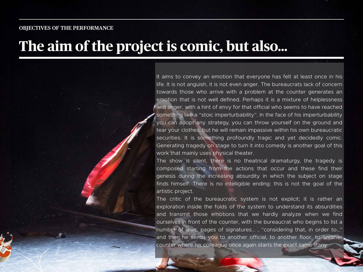#### **OBJECTIVES OF THE PERFORMANCE**

#### **The aim of the project is comic, but also…**

It aims to convey an emotion that everyone has felt at least once in his life. It is not anguish, it is not even anger. The bureaucrats lack of concern towards those who arrive with a problem at the counter generates an emotion that is not well defined. Perhaps it is a mixture of helplessness and anger, with a hint of envy for that official who seems to have reached something like a "stoic imperturbability". In the face of his imperturbability you can adopt any strategy, you can throw yourself on the ground and tear your clothes, but he will remain impassive within his own bureaucratic securities. It is something profoundly tragic and yet decidedly comic. Generating tragedy on stage to turn it into comedy is another goal of this work that mainly uses physical theater.

The show is silent, there is no theatrical dramaturgy, the tragedy is composed starting from the actions that occur and these find their genesis during the increasing absurdity in which the subject on stage finds himself. There is no intelligible ending; this is not the goal of the artistic project.

The critic of the bureaucratic system is not explicit; it is rather an exploration inside the folds of the system to understand its absurdities and transmit those emotions that we hardly analyze when we find ourselves in front of the counter, with the bureaucrat who begins to list a number of laws, pages of signatures... , "considering that, in order to…" and then he sends you to another official, to another floor, to another counter where his colleague once again starts the exact same litany.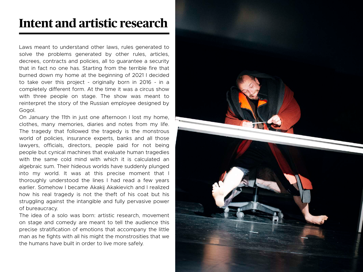#### **Intent and artistic research**

Laws meant to understand other laws, rules generated to solve the problems generated by other rules, articles, decrees, contracts and policies, all to guarantee a security that in fact no one has. Starting from the terrible fire that burned down my home at the beginning of 2021 I decided to take over this project - originally born in 2016 - in a completely different form. At the time it was a circus show with three people on stage. The show was meant to reinterpret the story of the Russian employee designed by Gogol.

On January the 11th in just one afternoon I lost my home, clothes, many memories, diaries and notes from my life. The tragedy that followed the tragedy is the monstrous world of policies, insurance experts, banks and all those lawyers, officials, directors, people paid for not being people but cynical machines that evaluate human tragedies with the same cold mind with which it is calculated an algebraic sum. Their hideous worlds have suddenly plunged into my world. It was at this precise moment that I thoroughly understood the lines I had read a few years earlier. Somehow I became Akakij Akakievich and I realized how his real tragedy is not the theft of his coat but his struggling against the intangible and fully pervasive power of bureaucracy.

The idea of a solo was born: artistic research, movement on stage and comedy are meant to tell the audience this precise stratification of emotions that accompany the little man as he fights with all his might the monstrosities that we the humans have built in order to live more safely.

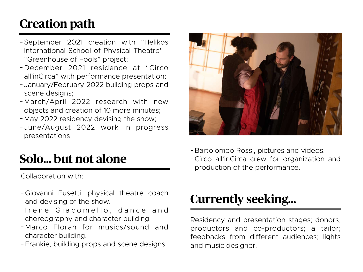### **Creation path**

- September 2021 creation with "Helikos International School of Physical Theatre" - "Greenhouse of Fools" project;
- December 2021 residence at "Circo all'inCirca" with performance presentation;
- January/February 2022 building props and scene designs;
- March/April 2022 research with new objects and creation of 10 more minutes;
- May 2022 residency devising the show;
- June/August 2022 work in progress presentations

#### **Solo… but not alone**

Collaboration with:

- Giovanni Fusetti, physical theatre coach and devising of the show.
- -I r e n e Giacomello, dance and choreography and character building.
- Marco Floran for musics/sound and character building.
- Frankie, building props and scene designs.



- -Bartolomeo Rossi, pictures and videos.
- -Circo all'inCirca crew for organization and production of the performance.

#### **Currently seeking…**

Residency and presentation stages; donors, productors and co-productors; a tailor; feedbacks from different audiences; lights and music designer.